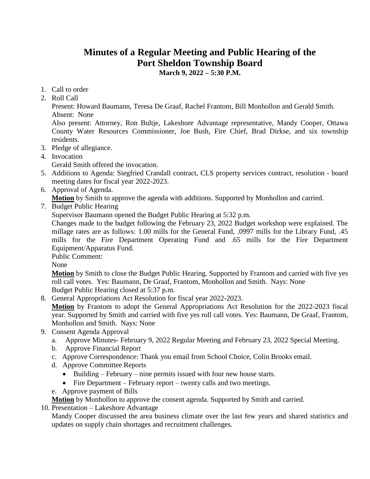## **Minutes of a Regular Meeting and Public Hearing of the Port Sheldon Township Board**

**March 9, 2022 – 5:30 P.M.**

- 1. Call to order
- 2. Roll Call

Present: Howard Baumann, Teresa De Graaf, Rachel Frantom, Bill Monhollon and Gerald Smith. Absent: None

Also present: Attorney, Ron Bultje, Lakeshore Advantage representative, Mandy Cooper, Ottawa County Water Resources Commissioner, Joe Bush, Fire Chief, Brad Dirkse, and six township residents.

- 3. Pledge of allegiance.
- 4. Invocation

Gerald Smith offered the invocation.

- 5. Additions to Agenda: Siegfried Crandall contract, CLS property services contract, resolution board meeting dates for fiscal year 2022-2023.
- 6. Approval of Agenda.
	- **Motion** by Smith to approve the agenda with additions. Supported by Monhollon and carried.
- 7. Budget Public Hearing

Supervisor Baumann opened the Budget Public Hearing at 5:32 p.m.

Changes made to the budget following the February 23, 2022 Budget workshop were explained. The millage rates are as follows: 1.00 mills for the General Fund, .0997 mills for the Library Fund, .45 mills for the Fire Department Operating Fund and .65 mills for the Fire Department Equipment/Apparatus Fund.

Public Comment:

None

**Motion** by Smith to close the Budget Public Hearing. Supported by Frantom and carried with five yes roll call votes. Yes: Baumann, De Graaf, Frantom, Monhollon and Smith. Nays: None Budget Public Hearing closed at 5:37 p.m.

8. General Appropriations Act Resolution for fiscal year 2022-2023.

**Motion** by Frantom to adopt the General Appropriations Act Resolution for the 2022-2023 fiscal year. Supported by Smith and carried with five yes roll call votes. Yes: Baumann, De Graaf, Frantom, Monhollon and Smith. Nays: None

- 9. Consent Agenda Approval
	- a. Approve Minutes- February 9, 2022 Regular Meeting and February 23, 2022 Special Meeting.
	- b. Approve Financial Report
	- c. Approve Correspondence: Thank you email from School Choice, Colin Brooks email.
	- d. Approve Committee Reports
		- Building February nine permits issued with four new house starts.
		- Fire Department February report twenty calls and two meetings.
	- e. Approve payment of Bills

**Motion** by Monhollon to approve the consent agenda. Supported by Smith and carried.

10. Presentation – Lakeshore Advantage

Mandy Cooper discussed the area business climate over the last few years and shared statistics and updates on supply chain shortages and recruitment challenges.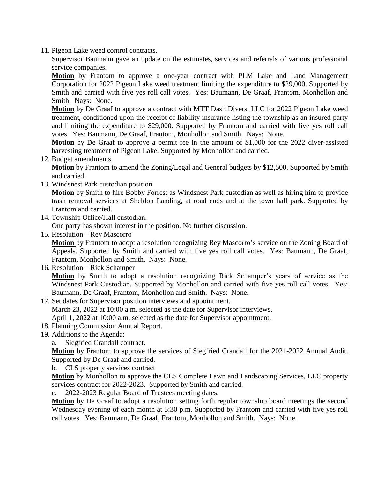11. Pigeon Lake weed control contracts.

Supervisor Baumann gave an update on the estimates, services and referrals of various professional service companies.

**Motion** by Frantom to approve a one-year contract with PLM Lake and Land Management Corporation for 2022 Pigeon Lake weed treatment limiting the expenditure to \$29,000. Supported by Smith and carried with five yes roll call votes. Yes: Baumann, De Graaf, Frantom, Monhollon and Smith. Nays: None.

**Motion** by De Graaf to approve a contract with MTT Dash Divers, LLC for 2022 Pigeon Lake weed treatment, conditioned upon the receipt of liability insurance listing the township as an insured party and limiting the expenditure to \$29,000. Supported by Frantom and carried with five yes roll call votes. Yes: Baumann, De Graaf, Frantom, Monhollon and Smith. Nays: None.

**Motion** by De Graaf to approve a permit fee in the amount of \$1,000 for the 2022 diver-assisted harvesting treatment of Pigeon Lake. Supported by Monhollon and carried.

12. Budget amendments.

**Motion** by Frantom to amend the Zoning/Legal and General budgets by \$12,500. Supported by Smith and carried.

13. Windsnest Park custodian position

**Motion** by Smith to hire Bobby Forrest as Windsnest Park custodian as well as hiring him to provide trash removal services at Sheldon Landing, at road ends and at the town hall park. Supported by Frantom and carried.

14. Township Office/Hall custodian.

One party has shown interest in the position. No further discussion.

15. Resolution – Rey Mascorro

**Motion** by Frantom to adopt a resolution recognizing Rey Mascorro's service on the Zoning Board of Appeals. Supported by Smith and carried with five yes roll call votes. Yes: Baumann, De Graaf, Frantom, Monhollon and Smith. Nays: None.

16. Resolution – Rick Schamper

**Motion** by Smith to adopt a resolution recognizing Rick Schamper's years of service as the Windsnest Park Custodian. Supported by Monhollon and carried with five yes roll call votes. Yes: Baumann, De Graaf, Frantom, Monhollon and Smith. Nays: None.

17. Set dates for Supervisor position interviews and appointment.

March 23, 2022 at 10:00 a.m. selected as the date for Supervisor interviews.

April 1, 2022 at 10:00 a.m. selected as the date for Supervisor appointment.

- 18. Planning Commission Annual Report.
- 19. Additions to the Agenda:
	- a. Siegfried Crandall contract.

**Motion** by Frantom to approve the services of Siegfried Crandall for the 2021-2022 Annual Audit. Supported by De Graaf and carried.

b. CLS property services contract

**Motion** by Monhollon to approve the CLS Complete Lawn and Landscaping Services, LLC property services contract for 2022-2023. Supported by Smith and carried.

c. 2022-2023 Regular Board of Trustees meeting dates.

**Motion** by De Graaf to adopt a resolution setting forth regular township board meetings the second Wednesday evening of each month at 5:30 p.m. Supported by Frantom and carried with five yes roll call votes. Yes: Baumann, De Graaf, Frantom, Monhollon and Smith. Nays: None.